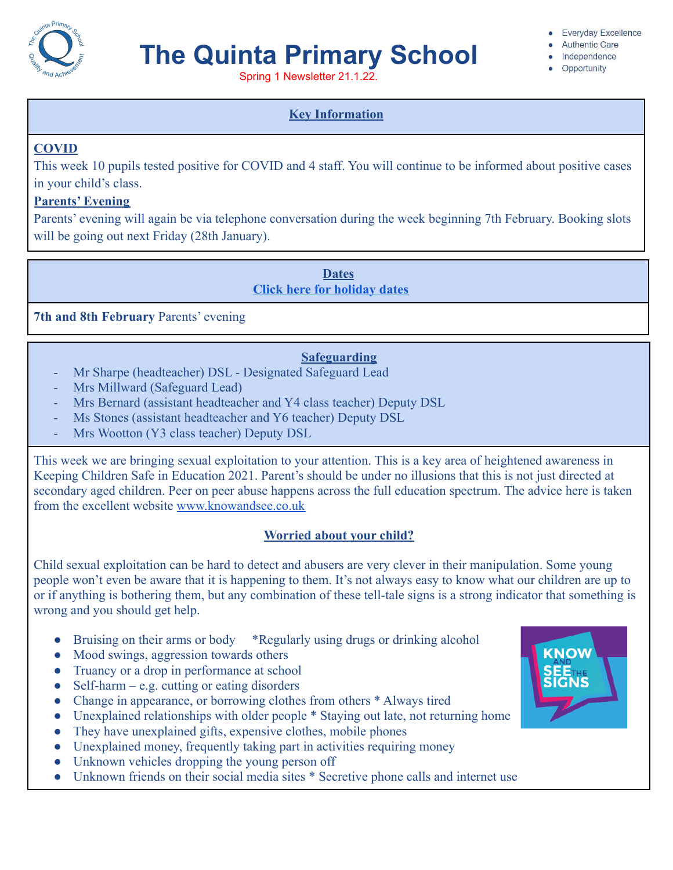

# **The Quinta Primary School**

Spring 1 Newsletter 21.1.22.

#### **Everyday Excellence**

- Authentic Care · Independence
- Opportunity

### **Key Information**

### **COVID**

This week 10 pupils tested positive for COVID and 4 staff. You will continue to be informed about positive cases in your child's class.

#### **Parents' Evening**

Parents' evening will again be via telephone conversation during the week beginning 7th February. Booking slots will be going out next Friday (28th January).

> **Dates [Click here for holiday dates](http://www.thequinta.cheshire.sch.uk/serve_file/2308637)**

**7th and 8th February** Parents' evening

### **Safeguarding**

- Mr Sharpe (headteacher) DSL Designated Safeguard Lead
- Mrs Millward (Safeguard Lead)
- Mrs Bernard (assistant headteacher and Y4 class teacher) Deputy DSL
- Ms Stones (assistant headteacher and Y6 teacher) Deputy DSL
- Mrs Wootton (Y3 class teacher) Deputy DSL

This week we are bringing sexual exploitation to your attention. This is a key area of heightened awareness in Keeping Children Safe in Education 2021. Parent's should be under no illusions that this is not just directed at secondary aged children. Peer on peer abuse happens across the full education spectrum. The advice here is taken from the excellent website [www.knowandsee.co.uk](http://www.knowandsee.co.uk)

### **Worried about your child?**

Child sexual exploitation can be hard to detect and abusers are very clever in their manipulation. Some young people won't even be aware that it is happening to them. It's not always easy to know what our children are up to or if anything is bothering them, but any combination of these tell-tale signs is a strong indicator that something is wrong and you should get help.

- Bruising on their arms or body \*Regularly using drugs or drinking alcohol
- Mood swings, aggression towards others
- Truancy or a drop in performance at school
- $\bullet$  Self-harm e.g. cutting or eating disorders
- Change in appearance, or borrowing clothes from others \* Always tired
- Unexplained relationships with older people \* Staying out late, not returning home
- They have unexplained gifts, expensive clothes, mobile phones
- Unexplained money, frequently taking part in activities requiring money
- Unknown vehicles dropping the young person off
- Unknown friends on their social media sites \* Secretive phone calls and internet use

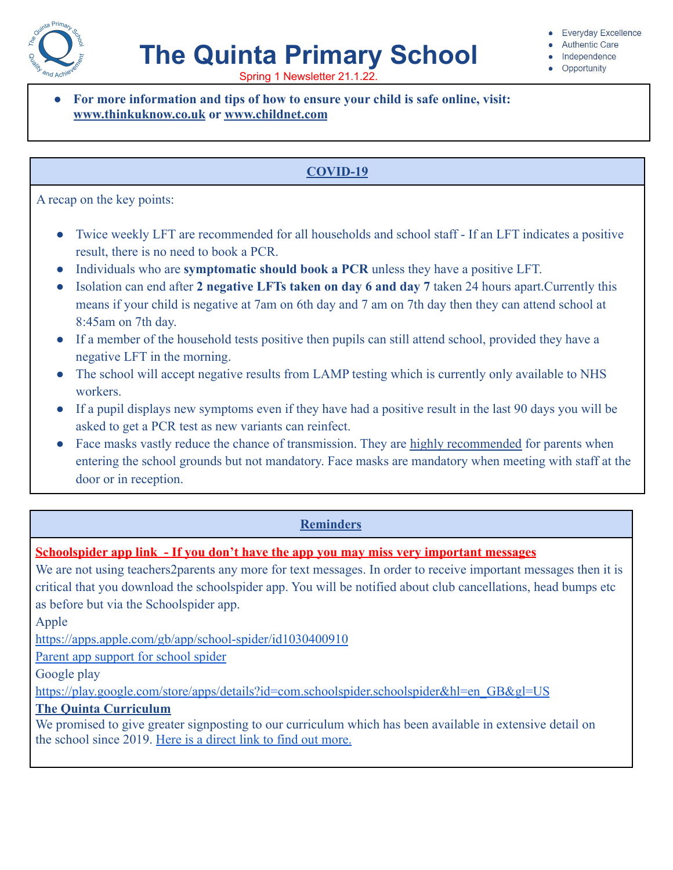

# **The Quinta Primary School**

**Everyday Excellence** 

- **Authentic Care** Independence
- Opportunity

Spring 1 Newsletter 21.1.22.

● **For more information and tips of how to ensure your child is safe online, visit: [www.thinkuknow.co.uk](http://www.thinkuknow.co.uk/) or [www.childnet.com](http://www.childnet.com/)**

## **COVID-19**

A recap on the key points:

- Twice weekly LFT are recommended for all households and school staff If an LFT indicates a positive result, there is no need to book a PCR.
- Individuals who are **symptomatic should book a PCR** unless they have a positive LFT.
- Isolation can end after **2 negative LFTs taken on day 6 and day 7** taken 24 hours apart.Currently this means if your child is negative at 7am on 6th day and 7 am on 7th day then they can attend school at 8:45am on 7th day.
- If a member of the household tests positive then pupils can still attend school, provided they have a negative LFT in the morning.
- The school will accept negative results from LAMP testing which is currently only available to NHS workers.
- If a pupil displays new symptoms even if they have had a positive result in the last 90 days you will be asked to get a PCR test as new variants can reinfect.
- Face masks vastly reduce the chance of transmission. They are highly recommended for parents when entering the school grounds but not mandatory. Face masks are mandatory when meeting with staff at the door or in reception.

### **Reminders**

### **Schoolspider app link - If you don't have the app you may miss very important messages**

We are not using teachers2parents any more for text messages. In order to receive important messages then it is critical that you download the schoolspider app. You will be notified about club cancellations, head bumps etc as before but via the Schoolspider app.

Apple

<https://apps.apple.com/gb/app/school-spider/id1030400910>

[Parent app support for school spider](https://drive.google.com/file/d/1LBk3RWm8v0Pnpuf2pHf6YInq8M2l5EgI/view?usp=sharing)

Google play

[https://play.google.com/store/apps/details?id=com.schoolspider.schoolspider&hl=en\\_GB&gl=US](https://play.google.com/store/apps/details?id=com.schoolspider.schoolspider&hl=en_GB&gl=US)

### **The Quinta Curriculum**

We promised to give greater signposting to our curriculum which has been available in extensive detail on the school since 2019. [Here is a direct link to find](https://docs.google.com/document/d/1KPqKBwrMCFjK2NrlWh5SdgZ2HVcpNmOB_0O2nknBiwg/edit?usp=sharing) out more.